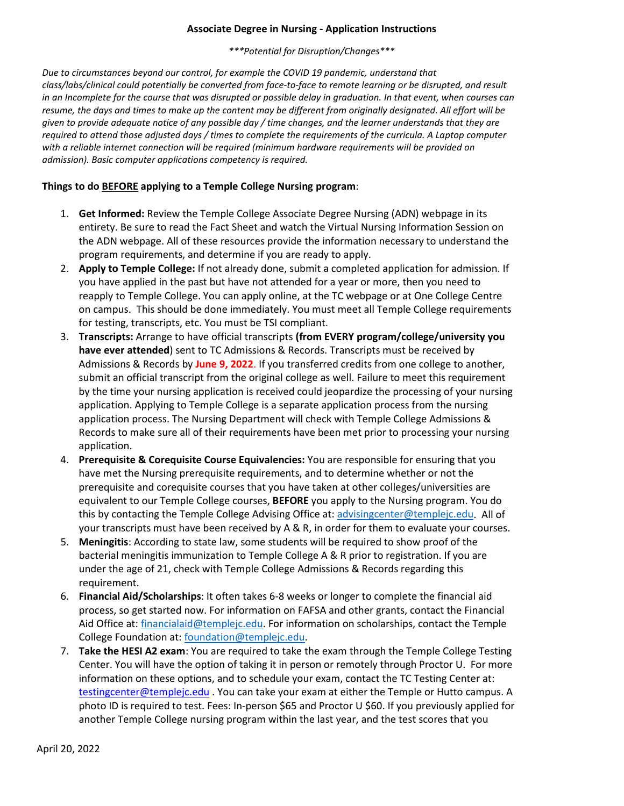### **Associate Degree in Nursing - Application Instructions**

*\*\*\*Potential for Disruption/Changes\*\*\**

*Due to circumstances beyond our control, for example the COVID 19 pandemic, understand that class/labs/clinical could potentially be converted from face-to-face to remote learning or be disrupted, and result in an Incomplete for the course that was disrupted or possible delay in graduation. In that event, when courses can resume, the days and times to make up the content may be different from originally designated. All effort will be given to provide adequate notice of any possible day / time changes, and the learner understands that they are required to attend those adjusted days / times to complete the requirements of the curricula. A Laptop computer with a reliable internet connection will be required (minimum hardware requirements will be provided on admission). Basic computer applications competency is required.*

## **Things to do BEFORE applying to a Temple College Nursing program**:

- 1. **Get Informed:** Review the Temple College Associate Degree Nursing (ADN) webpage in its entirety. Be sure to read the Fact Sheet and watch the Virtual Nursing Information Session on the ADN webpage. All of these resources provide the information necessary to understand the program requirements, and determine if you are ready to apply.
- 2. **Apply to Temple College:** If not already done, submit a completed application for admission. If you have applied in the past but have not attended for a year or more, then you need to reapply to Temple College. You can apply online, at the TC webpage or at One College Centre on campus. This should be done immediately. You must meet all Temple College requirements for testing, transcripts, etc. You must be TSI compliant.
- 3. **Transcripts:** Arrange to have official transcripts **(from EVERY program/college/university you have ever attended**) sent to TC Admissions & Records. Transcripts must be received by Admissions & Records by **June 9, 2022**. If you transferred credits from one college to another, submit an official transcript from the original college as well. Failure to meet this requirement by the time your nursing application is received could jeopardize the processing of your nursing application. Applying to Temple College is a separate application process from the nursing application process. The Nursing Department will check with Temple College Admissions & Records to make sure all of their requirements have been met prior to processing your nursing application.
- 4. **Prerequisite & Corequisite Course Equivalencies:** You are responsible for ensuring that you have met the Nursing prerequisite requirements, and to determine whether or not the prerequisite and corequisite courses that you have taken at other colleges/universities are equivalent to our Temple College courses, **BEFORE** you apply to the Nursing program. You do this by contacting the Temple College Advising Office at: [advisingcenter@templejc.edu.](mailto:advisingcenter@templejc.edu) All of your transcripts must have been received by A & R, in order for them to evaluate your courses.
- 5. **Meningitis**: According to state law, some students will be required to show proof of the bacterial meningitis immunization to Temple College A & R prior to registration. If you are under the age of 21, check with Temple College Admissions & Records regarding this requirement.
- 6. **Financial Aid/Scholarships**: It often takes 6-8 weeks or longer to complete the financial aid process, so get started now. For information on FAFSA and other grants, contact the Financial Aid Office at: [financialaid@templejc.edu.](mailto:financialaid@templejc.edu) For information on scholarships, contact the Temple College Foundation at: [foundation@templejc.edu.](mailto:foundation@templejc.edu)
- 7. **Take the HESI A2 exam**: You are required to take the exam through the Temple College Testing Center. You will have the option of taking it in person or remotely through Proctor U. For more information on these options, and to schedule your exam, contact the TC Testing Center at: [testingcenter@templejc.edu](mailto:testingcenter@templejc.edu) . You can take your exam at either the Temple or Hutto campus. A photo ID is required to test. Fees: In-person \$65 and Proctor U \$60. If you previously applied for another Temple College nursing program within the last year, and the test scores that you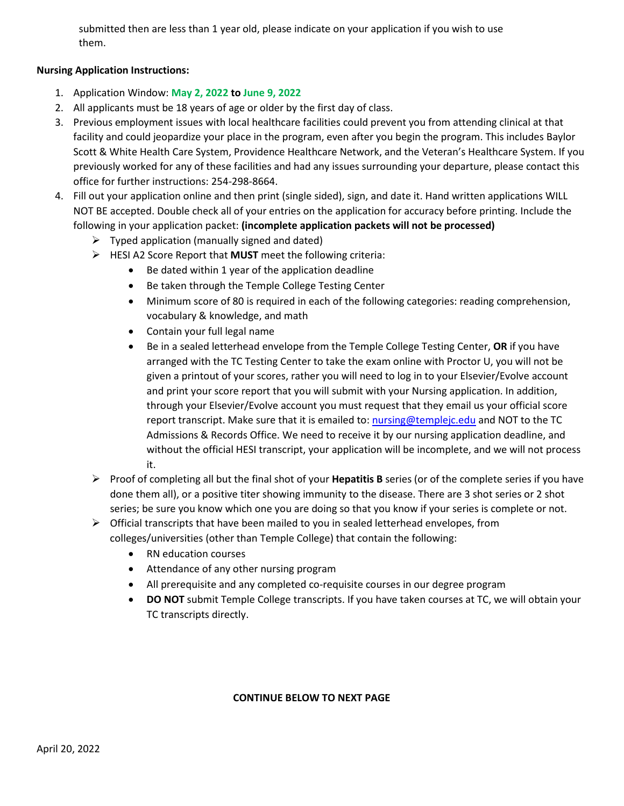submitted then are less than 1 year old, please indicate on your application if you wish to use them.

# **Nursing Application Instructions:**

- 1. Application Window: **May 2, 2022 to June 9, 2022**
- 2. All applicants must be 18 years of age or older by the first day of class.
- 3. Previous employment issues with local healthcare facilities could prevent you from attending clinical at that facility and could jeopardize your place in the program, even after you begin the program. This includes Baylor Scott & White Health Care System, Providence Healthcare Network, and the Veteran's Healthcare System. If you previously worked for any of these facilities and had any issues surrounding your departure, please contact this office for further instructions: 254-298-8664.
- 4. Fill out your application online and then print (single sided), sign, and date it. Hand written applications WILL NOT BE accepted. Double check all of your entries on the application for accuracy before printing. Include the following in your application packet: **(incomplete application packets will not be processed)**
	- $\triangleright$  Typed application (manually signed and dated)
	- HESI A2 Score Report that **MUST** meet the following criteria:
		- Be dated within 1 year of the application deadline
		- Be taken through the Temple College Testing Center
		- Minimum score of 80 is required in each of the following categories: reading comprehension, vocabulary & knowledge, and math
		- Contain your full legal name
		- Be in a sealed letterhead envelope from the Temple College Testing Center, **OR** if you have arranged with the TC Testing Center to take the exam online with Proctor U, you will not be given a printout of your scores, rather you will need to log in to your Elsevier/Evolve account and print your score report that you will submit with your Nursing application. In addition, through your Elsevier/Evolve account you must request that they email us your official score report transcript. Make sure that it is emailed to: [nursing@templejc.edu](mailto:nursing@templejc.edu) and NOT to the TC Admissions & Records Office. We need to receive it by our nursing application deadline, and without the official HESI transcript, your application will be incomplete, and we will not process it.
	- Proof of completing all but the final shot of your **Hepatitis B** series (or of the complete series if you have done them all), or a positive titer showing immunity to the disease. There are 3 shot series or 2 shot series; be sure you know which one you are doing so that you know if your series is complete or not.
	- $\triangleright$  Official transcripts that have been mailed to you in sealed letterhead envelopes, from colleges/universities (other than Temple College) that contain the following:
		- RN education courses
		- Attendance of any other nursing program
		- All prerequisite and any completed co-requisite courses in our degree program
		- **DO NOT** submit Temple College transcripts. If you have taken courses at TC, we will obtain your TC transcripts directly.

#### **CONTINUE BELOW TO NEXT PAGE**